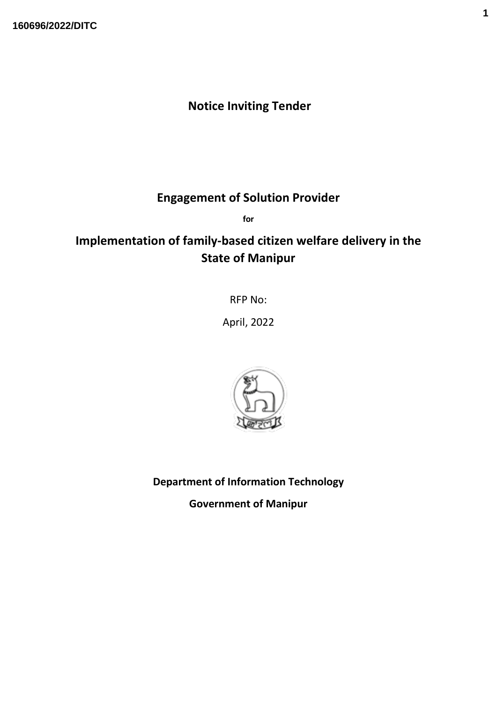# **Notice Inviting Tender**

# **Engagement of Solution Provider**

**for**

# **Implementation of family-based citizen welfare delivery in the State of Manipur**

RFP No:

April, 2022



**Department of Information Technology**

**Government of Manipur**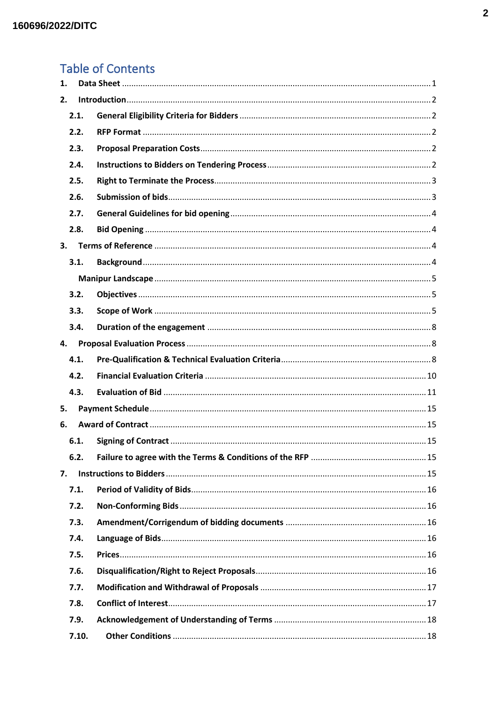# **Table of Contents**

| 1. |       |  |
|----|-------|--|
| 2. |       |  |
|    | 2.1.  |  |
|    | 2.2.  |  |
|    | 2.3.  |  |
|    | 2.4.  |  |
|    | 2.5.  |  |
|    | 2.6.  |  |
|    | 2.7.  |  |
|    | 2.8.  |  |
| 3. |       |  |
|    | 3.1.  |  |
|    |       |  |
|    | 3.2.  |  |
|    | 3.3.  |  |
|    | 3.4.  |  |
| 4. |       |  |
|    | 4.1.  |  |
|    | 4.2.  |  |
|    | 4.3.  |  |
| 5. |       |  |
| 6. |       |  |
|    | 6.1.  |  |
|    | 6.2.  |  |
| 7. |       |  |
|    | 7.1.  |  |
|    | 7.2.  |  |
|    | 7.3.  |  |
|    | 7.4.  |  |
|    | 7.5.  |  |
|    | 7.6.  |  |
|    | 7.7.  |  |
|    | 7.8.  |  |
|    | 7.9.  |  |
|    | 7.10. |  |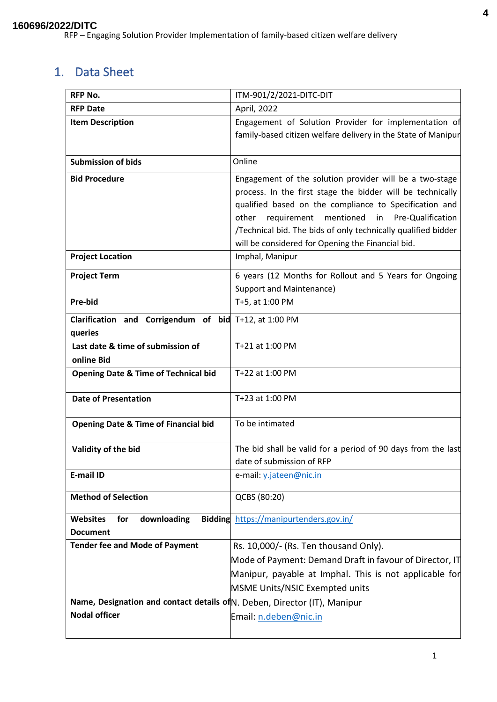# <span id="page-3-0"></span>1. Data Sheet

| <b>RFP No.</b>                                                            | ITM-901/2/2021-DITC-DIT                                                                                                |
|---------------------------------------------------------------------------|------------------------------------------------------------------------------------------------------------------------|
| <b>RFP Date</b>                                                           | April, 2022                                                                                                            |
| <b>Item Description</b>                                                   | Engagement of Solution Provider for implementation of<br>family-based citizen welfare delivery in the State of Manipur |
| <b>Submission of bids</b>                                                 | Online                                                                                                                 |
| <b>Bid Procedure</b>                                                      | Engagement of the solution provider will be a two-stage<br>process. In the first stage the bidder will be technically  |
|                                                                           | qualified based on the compliance to Specification and                                                                 |
|                                                                           | mentioned<br>in Pre-Qualification<br>other<br>requirement                                                              |
|                                                                           | /Technical bid. The bids of only technically qualified bidder                                                          |
|                                                                           | will be considered for Opening the Financial bid.                                                                      |
| <b>Project Location</b>                                                   | Imphal, Manipur                                                                                                        |
| <b>Project Term</b>                                                       | 6 years (12 Months for Rollout and 5 Years for Ongoing                                                                 |
|                                                                           | Support and Maintenance)                                                                                               |
| Pre-bid                                                                   | T+5, at 1:00 PM                                                                                                        |
| Clarification and Corrigendum of bid T+12, at 1:00 PM                     |                                                                                                                        |
| queries                                                                   |                                                                                                                        |
| Last date & time of submission of                                         | T+21 at 1:00 PM                                                                                                        |
| online Bid                                                                |                                                                                                                        |
| <b>Opening Date &amp; Time of Technical bid</b>                           | T+22 at 1:00 PM                                                                                                        |
| <b>Date of Presentation</b>                                               | T+23 at 1:00 PM                                                                                                        |
| <b>Opening Date &amp; Time of Financial bid</b>                           | To be intimated                                                                                                        |
| Validity of the bid                                                       | The bid shall be valid for a period of 90 days from the last                                                           |
|                                                                           | date of submission of RFP                                                                                              |
| E-mail ID                                                                 | e-mail: y.jateen@nic.in                                                                                                |
| <b>Method of Selection</b>                                                | QCBS (80:20)                                                                                                           |
| downloading<br><b>Websites</b><br>for                                     | Bidding https://manipurtenders.gov.in/                                                                                 |
| <b>Document</b>                                                           |                                                                                                                        |
| <b>Tender fee and Mode of Payment</b>                                     | Rs. 10,000/- (Rs. Ten thousand Only).                                                                                  |
|                                                                           | Mode of Payment: Demand Draft in favour of Director, IT                                                                |
|                                                                           | Manipur, payable at Imphal. This is not applicable for                                                                 |
|                                                                           | MSME Units/NSIC Exempted units                                                                                         |
| Name, Designation and contact details of N. Deben, Director (IT), Manipur |                                                                                                                        |
| <b>Nodal officer</b>                                                      | Email: n.deben@nic.in                                                                                                  |
|                                                                           |                                                                                                                        |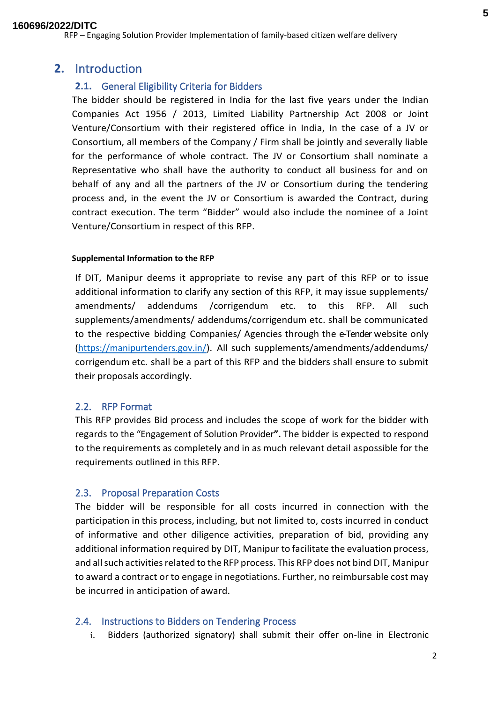## <span id="page-4-0"></span>**2.** Introduction

## <span id="page-4-1"></span>**2.1.** General Eligibility Criteria for Bidders

The bidder should be registered in India for the last five years under the Indian Companies Act 1956 / 2013, Limited Liability Partnership Act 2008 or Joint Venture/Consortium with their registered office in India, In the case of a JV or Consortium, all members of the Company / Firm shall be jointly and severally liable for the performance of whole contract. The JV or Consortium shall nominate a Representative who shall have the authority to conduct all business for and on behalf of any and all the partners of the JV or Consortium during the tendering process and, in the event the JV or Consortium is awarded the Contract, during contract execution. The term "Bidder" would also include the nominee of a Joint Venture/Consortium in respect of this RFP.

#### **Supplemental Information to the RFP**

If DIT, Manipur deems it appropriate to revise any part of this RFP or to issue additional information to clarify any section of this RFP, it may issue supplements/ amendments/ addendums /corrigendum etc. to this RFP. All such supplements/amendments/ addendums/corrigendum etc. shall be communicated to the respective bidding Companies/ Agencies through the e-Tender website only [\(https://manipurtenders.gov.in/\)](https://etenders.hry.nic.in/). All such supplements/amendments/addendums/ corrigendum etc. shall be a part of this RFP and the bidders shall ensure to submit their proposals accordingly.

## <span id="page-4-2"></span>2.2. RFP Format

This RFP provides Bid process and includes the scope of work for the bidder with regards to the "Engagement of Solution Provider**".** The bidder is expected to respond to the requirements as completely and in as much relevant detail aspossible for the requirements outlined in this RFP.

## <span id="page-4-3"></span>2.3. Proposal Preparation Costs

The bidder will be responsible for all costs incurred in connection with the participation in this process, including, but not limited to, costs incurred in conduct of informative and other diligence activities, preparation of bid, providing any additional information required by DIT, Manipur to facilitate the evaluation process, and all such activities related to the RFP process. This RFP does not bind DIT, Manipur to award a contract or to engage in negotiations. Further, no reimbursable cost may be incurred in anticipation of award.

## <span id="page-4-4"></span>2.4. Instructions to Bidders on Tendering Process

i. Bidders (authorized signatory) shall submit their offer on-line in Electronic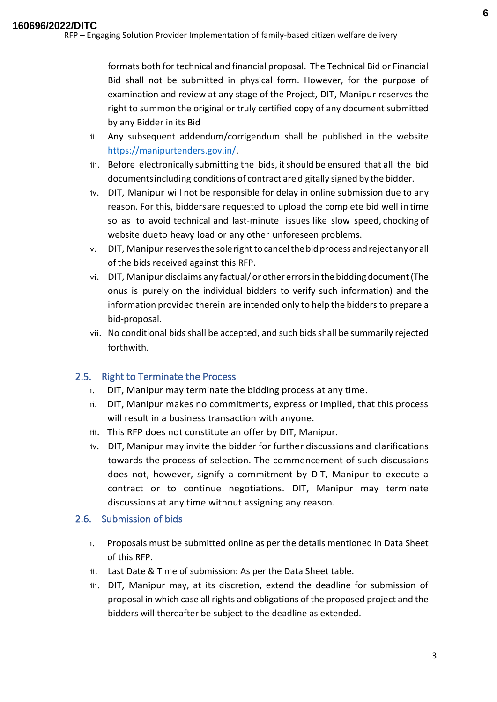formats both for technical and financial proposal. The Technical Bid or Financial Bid shall not be submitted in physical form. However, for the purpose of examination and review at any stage of the Project, DIT, Manipur reserves the right to summon the original or truly certified copy of any document submitted by any Bidder in its Bid

- ii. Any subsequent addendum/corrigendum shall be published in the website [https://manipurtenders.gov.in/.](https://etenders.hry.nic.in/)
- iii. Before electronically submitting the bids, it should be ensured that all the bid documentsincluding conditions of contract are digitally signed by the bidder.
- iv. DIT, Manipur will not be responsible for delay in online submission due to any reason. For this, biddersare requested to upload the complete bid well in time so as to avoid technical and last-minute issues like slow speed, chocking of website dueto heavy load or any other unforeseen problems.
- v. DIT, Manipur reservesthe solerighttocancelthebidprocess andreject anyor all ofthe bids received against this RFP.
- vi. DIT, Manipur disclaims any factual/orother errorsin the bidding document(The onus is purely on the individual bidders to verify such information) and the information provided therein are intended only to help the bidders to prepare a bid-proposal.
- vii. No conditional bids shall be accepted, and such bidsshall be summarily rejected forthwith.

## <span id="page-5-0"></span>2.5. Right to Terminate the Process

- i. DIT, Manipur may terminate the bidding process at any time.
- ii. DIT, Manipur makes no commitments, express or implied, that this process will result in a business transaction with anyone.
- iii. This RFP does not constitute an offer by DIT, Manipur.
- iv. DIT, Manipur may invite the bidder for further discussions and clarifications towards the process of selection. The commencement of such discussions does not, however, signify a commitment by DIT, Manipur to execute a contract or to continue negotiations. DIT, Manipur may terminate discussions at any time without assigning any reason.

## <span id="page-5-1"></span>2.6. Submission of bids

- i. Proposals must be submitted online as per the details mentioned in Data Sheet of this RFP.
- ii. Last Date & Time of submission: As per the Data Sheet table.
- iii. DIT, Manipur may, at its discretion, extend the deadline for submission of proposal in which case all rights and obligations of the proposed project and the bidders will thereafter be subject to the deadline as extended.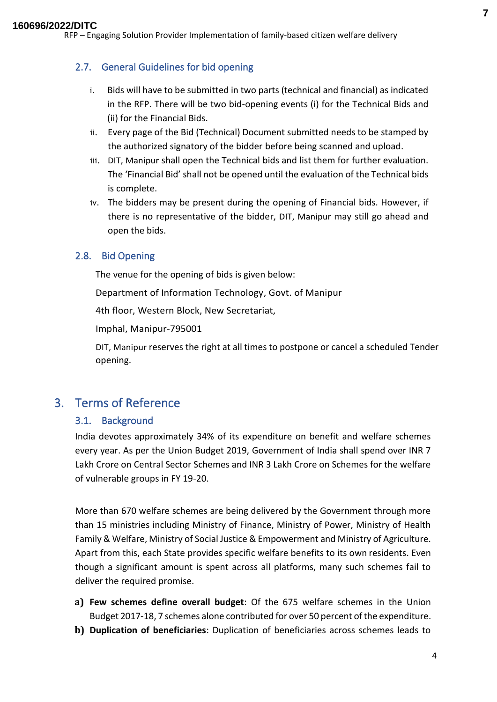## <span id="page-6-0"></span>2.7. General Guidelines for bid opening

- i. Bids will have to be submitted in two parts (technical and financial) as indicated in the RFP. There will be two bid-opening events (i) for the Technical Bids and (ii) for the Financial Bids.
- ii. Every page of the Bid (Technical) Document submitted needs to be stamped by the authorized signatory of the bidder before being scanned and upload.
- iii. DIT, Manipur shall open the Technical bids and list them for further evaluation. The 'Financial Bid' shall not be opened until the evaluation of the Technical bids is complete.
- iv. The bidders may be present during the opening of Financial bids. However, if there is no representative of the bidder, DIT, Manipur may still go ahead and open the bids.

#### <span id="page-6-1"></span>2.8. Bid Opening

The venue for the opening of bids is given below:

Department of Information Technology, Govt. of Manipur

4th floor, Western Block, New Secretariat,

Imphal, Manipur-795001

DIT, Manipur reserves the right at all times to postpone or cancel a scheduled Tender opening.

## <span id="page-6-3"></span><span id="page-6-2"></span>3. Terms of Reference

#### 3.1. Background

India devotes approximately 34% of its expenditure on benefit and welfare schemes every year. As per the Union Budget 2019, Government of India shall spend over INR 7 Lakh Crore on Central Sector Schemes and INR 3 Lakh Crore on Schemes for the welfare of vulnerable groups in FY 19-20.

More than 670 welfare schemes are being delivered by the Government through more than 15 ministries including Ministry of Finance, Ministry of Power, Ministry of Health Family & Welfare, Ministry of Social Justice & Empowerment and Ministry of Agriculture. Apart from this, each State provides specific welfare benefits to its own residents. Even though a significant amount is spent across all platforms, many such schemes fail to deliver the required promise.

- **a) Few schemes define overall budget**: Of the 675 welfare schemes in the Union Budget 2017-18, 7 schemes alone contributed for over 50 percent ofthe expenditure.
- **b) Duplication of beneficiaries**: Duplication of beneficiaries across schemes leads to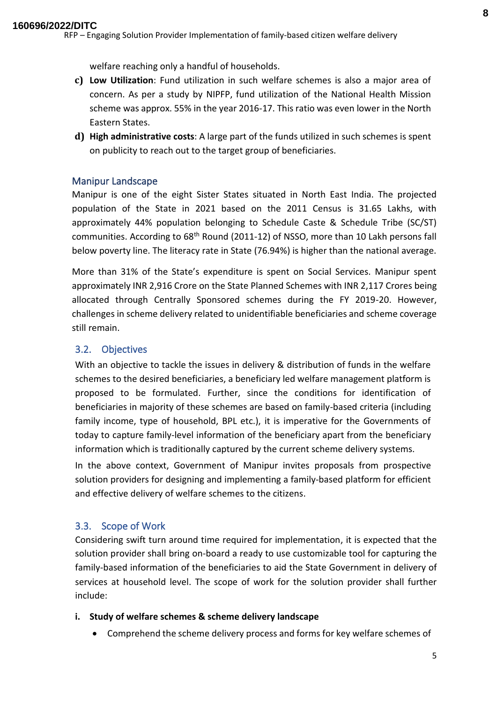- **c) Low Utilization**: Fund utilization in such welfare schemes is also a major area of concern. As per a study by NIPFP, fund utilization of the National Health Mission scheme was approx. 55% in the year 2016-17. This ratio was even lower in the North Eastern States.
- **d) High administrative costs**: A large part of the funds utilized in such schemes is spent on publicity to reach out to the target group of beneficiaries.

#### <span id="page-7-0"></span>Manipur Landscape

Manipur is one of the eight Sister States situated in North East India. The projected population of the State in 2021 based on the 2011 Census is 31.65 Lakhs, with approximately 44% population belonging to Schedule Caste & Schedule Tribe (SC/ST) communities. According to 68<sup>th</sup> Round (2011-12) of NSSO, more than 10 Lakh persons fall below poverty line. The literacy rate in State (76.94%) is higher than the national average.

More than 31% of the State's expenditure is spent on Social Services. Manipur spent approximately INR 2,916 Crore on the State Planned Schemes with INR 2,117 Crores being allocated through Centrally Sponsored schemes during the FY 2019-20. However, challenges in scheme delivery related to unidentifiable beneficiaries and scheme coverage still remain.

#### <span id="page-7-1"></span>3.2. Objectives

With an objective to tackle the issues in delivery & distribution of funds in the welfare schemes to the desired beneficiaries, a beneficiary led welfare management platform is proposed to be formulated. Further, since the conditions for identification of beneficiaries in majority of these schemes are based on family-based criteria (including family income, type of household, BPL etc.), it is imperative for the Governments of today to capture family-level information of the beneficiary apart from the beneficiary information which is traditionally captured by the current scheme delivery systems.

In the above context, Government of Manipur invites proposals from prospective solution providers for designing and implementing a family-based platform for efficient and effective delivery of welfare schemes to the citizens.

#### <span id="page-7-2"></span>3.3. Scope of Work

Considering swift turn around time required for implementation, it is expected that the solution provider shall bring on-board a ready to use customizable tool for capturing the family-based information of the beneficiaries to aid the State Government in delivery of services at household level. The scope of work for the solution provider shall further include:

#### **i. Study of welfare schemes & scheme delivery landscape**

• Comprehend the scheme delivery process and forms for key welfare schemes of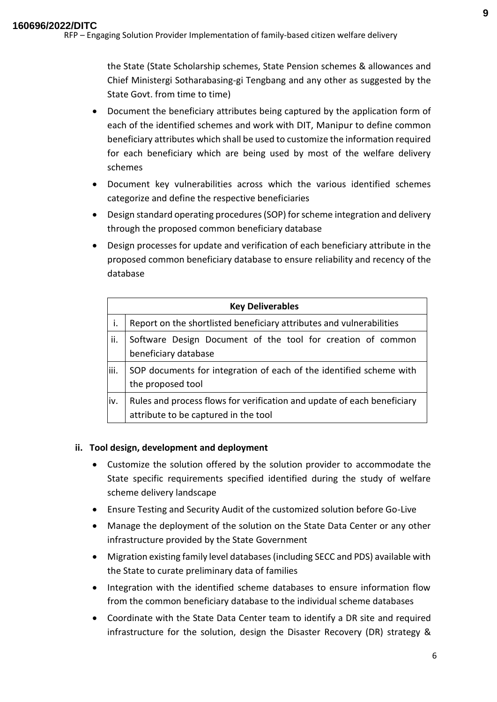the State (State Scholarship schemes, State Pension schemes & allowances and Chief Ministergi Sotharabasing-gi Tengbang and any other as suggested by the State Govt. from time to time)

- Document the beneficiary attributes being captured by the application form of each of the identified schemes and work with DIT, Manipur to define common beneficiary attributes which shall be used to customize the information required for each beneficiary which are being used by most of the welfare delivery schemes
- Document key vulnerabilities across which the various identified schemes categorize and define the respective beneficiaries
- Design standard operating procedures (SOP) for scheme integration and delivery through the proposed common beneficiary database
- Design processes for update and verification of each beneficiary attribute in the proposed common beneficiary database to ensure reliability and recency of the database

| <b>Key Deliverables</b> |                                                                                                                 |  |
|-------------------------|-----------------------------------------------------------------------------------------------------------------|--|
| i.                      | Report on the shortlisted beneficiary attributes and vulnerabilities                                            |  |
| ii.                     | Software Design Document of the tool for creation of common<br>beneficiary database                             |  |
| iii.                    | SOP documents for integration of each of the identified scheme with<br>the proposed tool                        |  |
| iv.                     | Rules and process flows for verification and update of each beneficiary<br>attribute to be captured in the tool |  |

#### **ii. Tool design, development and deployment**

- Customize the solution offered by the solution provider to accommodate the State specific requirements specified identified during the study of welfare scheme delivery landscape
- Ensure Testing and Security Audit of the customized solution before Go-Live
- Manage the deployment of the solution on the State Data Center or any other infrastructure provided by the State Government
- Migration existing family level databases (including SECC and PDS) available with the State to curate preliminary data of families
- Integration with the identified scheme databases to ensure information flow from the common beneficiary database to the individual scheme databases
- Coordinate with the State Data Center team to identify a DR site and required infrastructure for the solution, design the Disaster Recovery (DR) strategy &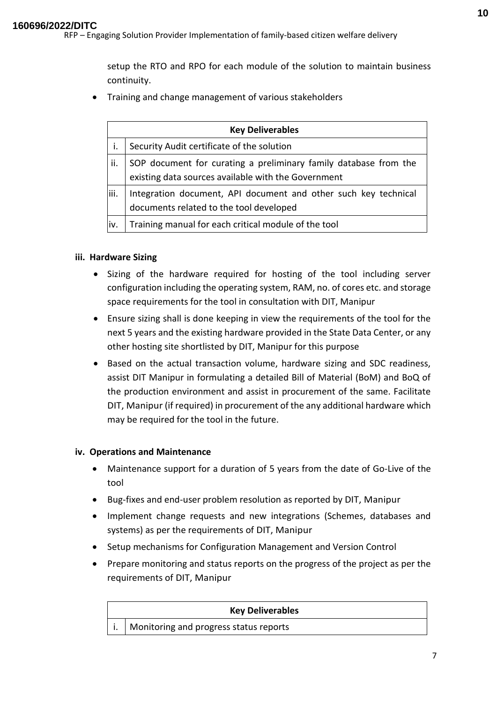setup the RTO and RPO for each module of the solution to maintain business continuity.

• Training and change management of various stakeholders

|       | <b>Key Deliverables</b>                                          |  |  |
|-------|------------------------------------------------------------------|--|--|
|       | Security Audit certificate of the solution                       |  |  |
| ii.   | SOP document for curating a preliminary family database from the |  |  |
|       | existing data sources available with the Government              |  |  |
| liii. | Integration document, API document and other such key technical  |  |  |
|       | documents related to the tool developed                          |  |  |
| liv.  | Training manual for each critical module of the tool             |  |  |

#### **iii. Hardware Sizing**

- Sizing of the hardware required for hosting of the tool including server configuration including the operating system, RAM, no. of cores etc. and storage space requirements for the tool in consultation with DIT, Manipur
- Ensure sizing shall is done keeping in view the requirements of the tool for the next 5 years and the existing hardware provided in the State Data Center, or any other hosting site shortlisted by DIT, Manipur for this purpose
- Based on the actual transaction volume, hardware sizing and SDC readiness, assist DIT Manipur in formulating a detailed Bill of Material (BoM) and BoQ of the production environment and assist in procurement of the same. Facilitate DIT, Manipur (if required) in procurement of the any additional hardware which may be required for the tool in the future.

#### **iv. Operations and Maintenance**

- Maintenance support for a duration of 5 years from the date of Go-Live of the tool
- Bug-fixes and end-user problem resolution as reported by DIT, Manipur
- Implement change requests and new integrations (Schemes, databases and systems) as per the requirements of DIT, Manipur
- Setup mechanisms for Configuration Management and Version Control
- Prepare monitoring and status reports on the progress of the project as per the requirements of DIT, Manipur

| <b>Key Deliverables</b> |                                                     |  |  |
|-------------------------|-----------------------------------------------------|--|--|
|                         | $\vert$ i.   Monitoring and progress status reports |  |  |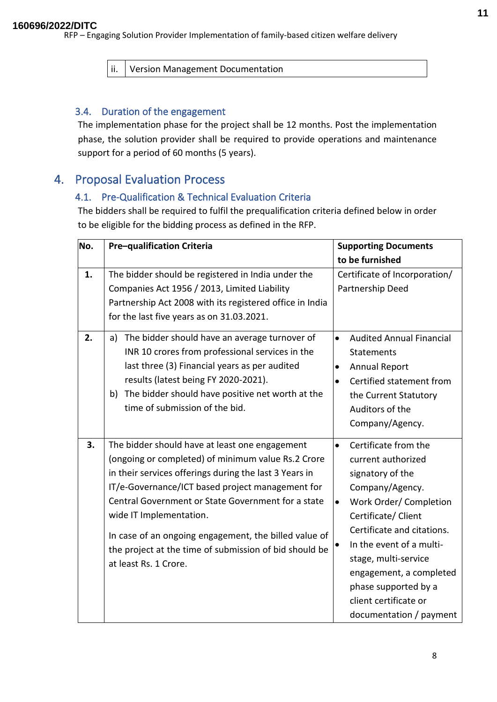ii. Version Management Documentation

## <span id="page-10-0"></span>3.4. Duration of the engagement

The implementation phase for the project shall be 12 months. Post the implementation phase, the solution provider shall be required to provide operations and maintenance support for a period of 60 months (5 years).

## <span id="page-10-2"></span><span id="page-10-1"></span>4. Proposal Evaluation Process

## 4.1. Pre-Qualification & Technical Evaluation Criteria

The bidders shall be required to fulfil the prequalification criteria defined below in order to be eligible for the bidding process as defined in the RFP.

| No. | Pre-qualification Criteria                                                                                                                                                                                                                                                                                                                                                                                                                      | <b>Supporting Documents</b>                                                                                                                                                                                                                                                                                                                          |
|-----|-------------------------------------------------------------------------------------------------------------------------------------------------------------------------------------------------------------------------------------------------------------------------------------------------------------------------------------------------------------------------------------------------------------------------------------------------|------------------------------------------------------------------------------------------------------------------------------------------------------------------------------------------------------------------------------------------------------------------------------------------------------------------------------------------------------|
|     |                                                                                                                                                                                                                                                                                                                                                                                                                                                 | to be furnished                                                                                                                                                                                                                                                                                                                                      |
| 1.  | The bidder should be registered in India under the<br>Companies Act 1956 / 2013, Limited Liability<br>Partnership Act 2008 with its registered office in India<br>for the last five years as on 31.03.2021.                                                                                                                                                                                                                                     | Certificate of Incorporation/<br>Partnership Deed                                                                                                                                                                                                                                                                                                    |
| 2.  | The bidder should have an average turnover of<br>a)<br>INR 10 crores from professional services in the<br>last three (3) Financial years as per audited<br>results (latest being FY 2020-2021).<br>The bidder should have positive net worth at the<br>b)<br>time of submission of the bid.                                                                                                                                                     | <b>Audited Annual Financial</b><br>$\bullet$<br><b>Statements</b><br><b>Annual Report</b><br>$\bullet$<br>Certified statement from<br>$\bullet$<br>the Current Statutory<br>Auditors of the<br>Company/Agency.                                                                                                                                       |
| 3.  | The bidder should have at least one engagement<br>(ongoing or completed) of minimum value Rs.2 Crore<br>in their services offerings during the last 3 Years in<br>IT/e-Governance/ICT based project management for<br>Central Government or State Government for a state<br>wide IT Implementation.<br>In case of an ongoing engagement, the billed value of<br>the project at the time of submission of bid should be<br>at least Rs. 1 Crore. | Certificate from the<br>$\bullet$<br>current authorized<br>signatory of the<br>Company/Agency.<br>Work Order/Completion<br>$\bullet$<br>Certificate/ Client<br>Certificate and citations.<br>In the event of a multi-<br>stage, multi-service<br>engagement, a completed<br>phase supported by a<br>client certificate or<br>documentation / payment |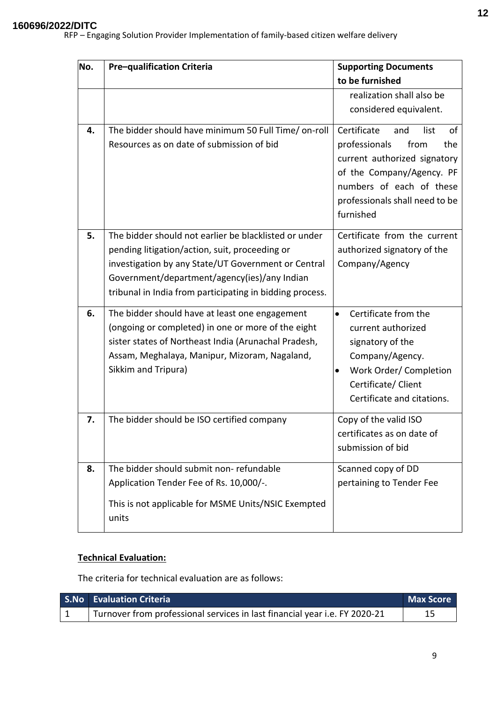| No. | Pre-qualification Criteria                                                                                                                                                                                                                                                 | <b>Supporting Documents</b><br>to be furnished                                                                                                                                                           |  |
|-----|----------------------------------------------------------------------------------------------------------------------------------------------------------------------------------------------------------------------------------------------------------------------------|----------------------------------------------------------------------------------------------------------------------------------------------------------------------------------------------------------|--|
|     |                                                                                                                                                                                                                                                                            | realization shall also be<br>considered equivalent.                                                                                                                                                      |  |
| 4.  | The bidder should have minimum 50 Full Time/ on-roll<br>Resources as on date of submission of bid                                                                                                                                                                          | Certificate<br>list<br>and<br>of<br>professionals<br>from<br>the<br>current authorized signatory<br>of the Company/Agency. PF<br>numbers of each of these<br>professionals shall need to be<br>furnished |  |
| 5.  | The bidder should not earlier be blacklisted or under<br>pending litigation/action, suit, proceeding or<br>investigation by any State/UT Government or Central<br>Government/department/agency(ies)/any Indian<br>tribunal in India from participating in bidding process. | Certificate from the current<br>authorized signatory of the<br>Company/Agency                                                                                                                            |  |
| 6.  | The bidder should have at least one engagement<br>(ongoing or completed) in one or more of the eight<br>sister states of Northeast India (Arunachal Pradesh,<br>Assam, Meghalaya, Manipur, Mizoram, Nagaland,<br>Sikkim and Tripura)                                       | Certificate from the<br>$\bullet$<br>current authorized<br>signatory of the<br>Company/Agency.<br>Work Order/ Completion<br>$\bullet$<br>Certificate/ Client<br>Certificate and citations.               |  |
| 7.  | The bidder should be ISO certified company                                                                                                                                                                                                                                 | Copy of the valid ISO<br>certificates as on date of<br>submission of bid                                                                                                                                 |  |
| 8.  | The bidder should submit non-refundable<br>Application Tender Fee of Rs. 10,000/-.<br>This is not applicable for MSME Units/NSIC Exempted<br>units                                                                                                                         | Scanned copy of DD<br>pertaining to Tender Fee                                                                                                                                                           |  |

#### **Technical Evaluation:**

The criteria for technical evaluation are as follows:

| <b>S.No</b> Evaluation Criteria                                            | <b>Max Score</b> |
|----------------------------------------------------------------------------|------------------|
| Turnover from professional services in last financial year i.e. FY 2020-21 |                  |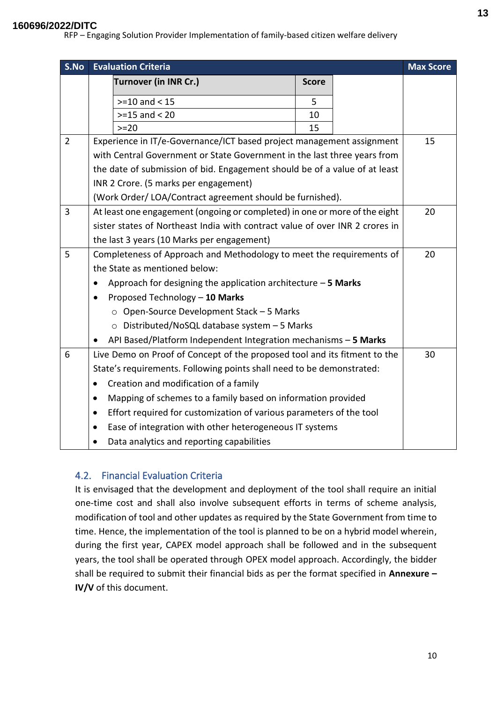## **160696/2022/DITC**

RFP – Engaging Solution Provider Implementation of family-based citizen welfare delivery

| S.No           | <b>Evaluation Criteria</b>                                                       |                                                                              |              | <b>Max Score</b> |    |
|----------------|----------------------------------------------------------------------------------|------------------------------------------------------------------------------|--------------|------------------|----|
|                |                                                                                  | <b>Turnover (in INR Cr.)</b>                                                 | <b>Score</b> |                  |    |
|                |                                                                                  | $>=10$ and < 15                                                              | 5            |                  |    |
|                |                                                                                  | $>=15$ and < 20                                                              | 10           |                  |    |
|                |                                                                                  | $>=20$                                                                       | 15           |                  |    |
| $\overline{2}$ |                                                                                  | Experience in IT/e-Governance/ICT based project management assignment        |              |                  | 15 |
|                |                                                                                  | with Central Government or State Government in the last three years from     |              |                  |    |
|                |                                                                                  | the date of submission of bid. Engagement should be of a value of at least   |              |                  |    |
|                |                                                                                  | INR 2 Crore. (5 marks per engagement)                                        |              |                  |    |
|                |                                                                                  | (Work Order/LOA/Contract agreement should be furnished).                     |              |                  |    |
| 3              |                                                                                  | At least one engagement (ongoing or completed) in one or more of the eight   |              |                  | 20 |
|                |                                                                                  | sister states of Northeast India with contract value of over INR 2 crores in |              |                  |    |
|                |                                                                                  | the last 3 years (10 Marks per engagement)                                   |              |                  |    |
| 5              |                                                                                  | Completeness of Approach and Methodology to meet the requirements of         |              |                  | 20 |
|                | the State as mentioned below:                                                    |                                                                              |              |                  |    |
|                | Approach for designing the application architecture $-5$ Marks                   |                                                                              |              |                  |    |
|                | Proposed Technology - 10 Marks                                                   |                                                                              |              |                  |    |
|                | ○ Open-Source Development Stack - 5 Marks                                        |                                                                              |              |                  |    |
|                | ○ Distributed/NoSQL database system - 5 Marks                                    |                                                                              |              |                  |    |
|                |                                                                                  | API Based/Platform Independent Integration mechanisms - 5 Marks              |              |                  |    |
| 6              |                                                                                  | Live Demo on Proof of Concept of the proposed tool and its fitment to the    |              |                  | 30 |
|                |                                                                                  | State's requirements. Following points shall need to be demonstrated:        |              |                  |    |
|                | $\bullet$                                                                        | Creation and modification of a family                                        |              |                  |    |
|                | $\bullet$                                                                        | Mapping of schemes to a family based on information provided                 |              |                  |    |
|                | Effort required for customization of various parameters of the tool<br>$\bullet$ |                                                                              |              |                  |    |
|                | Ease of integration with other heterogeneous IT systems                          |                                                                              |              |                  |    |
|                |                                                                                  | Data analytics and reporting capabilities                                    |              |                  |    |

## <span id="page-12-0"></span>4.2. Financial Evaluation Criteria

It is envisaged that the development and deployment of the tool shall require an initial one-time cost and shall also involve subsequent efforts in terms of scheme analysis, modification of tool and other updates as required by the State Government from time to time. Hence, the implementation of the tool is planned to be on a hybrid model wherein, during the first year, CAPEX model approach shall be followed and in the subsequent years, the tool shall be operated through OPEX model approach. Accordingly, the bidder shall be required to submit their financial bids as per the format specified in **Annexure – IV/V** of this document.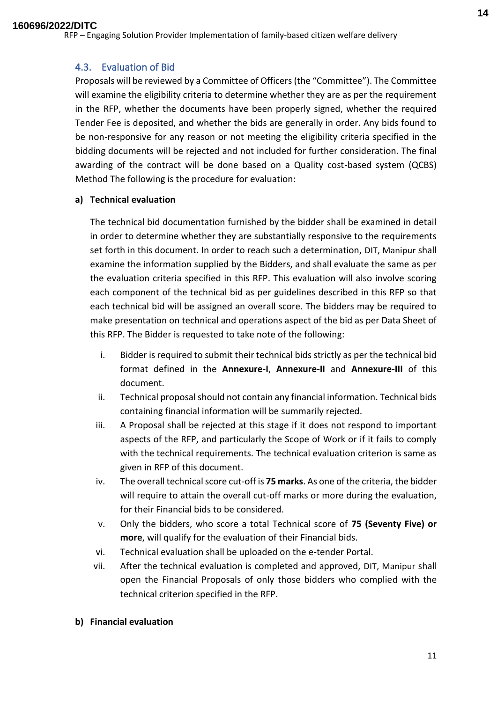## <span id="page-13-0"></span>4.3. Evaluation of Bid

Proposals will be reviewed by a Committee of Officers (the "Committee"). The Committee will examine the eligibility criteria to determine whether they are as per the requirement in the RFP, whether the documents have been properly signed, whether the required Tender Fee is deposited, and whether the bids are generally in order. Any bids found to be non-responsive for any reason or not meeting the eligibility criteria specified in the bidding documents will be rejected and not included for further consideration. The final awarding of the contract will be done based on a Quality cost-based system (QCBS) Method The following is the procedure for evaluation:

#### **a) Technical evaluation**

The technical bid documentation furnished by the bidder shall be examined in detail in order to determine whether they are substantially responsive to the requirements set forth in this document. In order to reach such a determination, DIT, Manipur shall examine the information supplied by the Bidders, and shall evaluate the same as per the evaluation criteria specified in this RFP. This evaluation will also involve scoring each component of the technical bid as per guidelines described in this RFP so that each technical bid will be assigned an overall score. The bidders may be required to make presentation on technical and operations aspect of the bid as per Data Sheet of this RFP. The Bidder is requested to take note of the following:

- i. Bidder is required to submit their technical bids strictly as per the technical bid format defined in the **Annexure-I**, **Annexure-II** and **Annexure-III** of this document.
- ii. Technical proposal should not contain any financial information. Technical bids containing financial information will be summarily rejected.
- iii. A Proposal shall be rejected at this stage if it does not respond to important aspects of the RFP, and particularly the Scope of Work or if it fails to comply with the technical requirements. The technical evaluation criterion is same as given in RFP of this document.
- iv. The overall technical score cut-off is **75 marks**. As one of the criteria, the bidder will require to attain the overall cut-off marks or more during the evaluation, for their Financial bids to be considered.
- v. Only the bidders, who score a total Technical score of **75 (Seventy Five) or more**, will qualify for the evaluation of their Financial bids.
- vi. Technical evaluation shall be uploaded on the e-tender Portal.
- vii. After the technical evaluation is completed and approved, DIT, Manipur shall open the Financial Proposals of only those bidders who complied with the technical criterion specified in the RFP.

#### **b) Financial evaluation**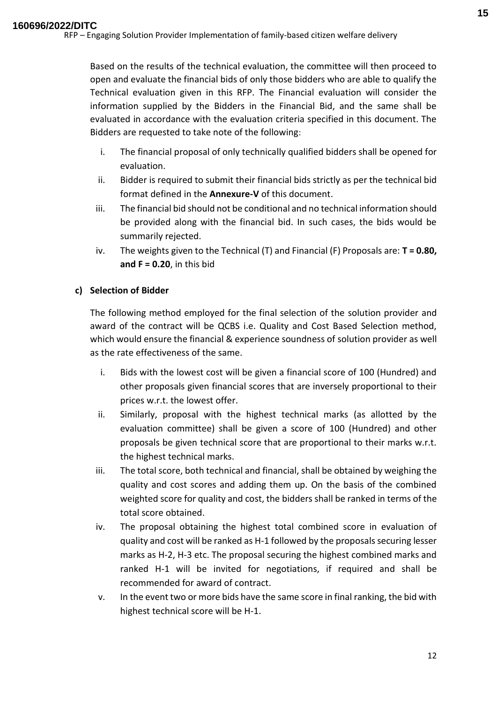Based on the results of the technical evaluation, the committee will then proceed to open and evaluate the financial bids of only those bidders who are able to qualify the Technical evaluation given in this RFP. The Financial evaluation will consider the information supplied by the Bidders in the Financial Bid, and the same shall be evaluated in accordance with the evaluation criteria specified in this document. The Bidders are requested to take note of the following:

- i. The financial proposal of only technically qualified bidders shall be opened for evaluation.
- ii. Bidder is required to submit their financial bids strictly as per the technical bid format defined in the **Annexure-V** of this document.
- iii. The financial bid should not be conditional and no technical information should be provided along with the financial bid. In such cases, the bids would be summarily rejected.
- iv. The weights given to the Technical (T) and Financial (F) Proposals are: **T = 0.80, and F = 0.20**, in this bid

#### **c) Selection of Bidder**

The following method employed for the final selection of the solution provider and award of the contract will be QCBS i.e. Quality and Cost Based Selection method, which would ensure the financial & experience soundness of solution provider as well as the rate effectiveness of the same.

- i. Bids with the lowest cost will be given a financial score of 100 (Hundred) and other proposals given financial scores that are inversely proportional to their prices w.r.t. the lowest offer.
- ii. Similarly, proposal with the highest technical marks (as allotted by the evaluation committee) shall be given a score of 100 (Hundred) and other proposals be given technical score that are proportional to their marks w.r.t. the highest technical marks.
- iii. The total score, both technical and financial, shall be obtained by weighing the quality and cost scores and adding them up. On the basis of the combined weighted score for quality and cost, the bidders shall be ranked in terms of the total score obtained.
- iv. The proposal obtaining the highest total combined score in evaluation of quality and cost will be ranked as H-1 followed by the proposals securing lesser marks as H-2, H-3 etc. The proposal securing the highest combined marks and ranked H-1 will be invited for negotiations, if required and shall be recommended for award of contract.
- v. In the event two or more bids have the same score in final ranking, the bid with highest technical score will be H-1.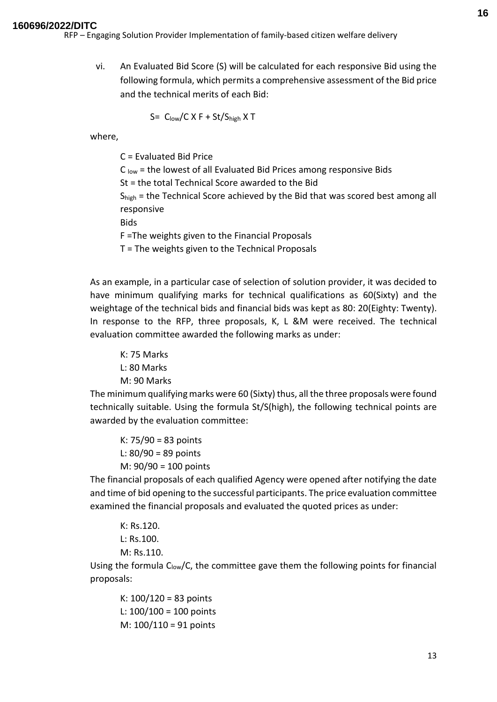#### **160696/2022/DITC**

RFP – Engaging Solution Provider Implementation of family-based citizen welfare delivery

vi. An Evaluated Bid Score (S) will be calculated for each responsive Bid using the following formula, which permits a comprehensive assessment of the Bid price and the technical merits of each Bid:

$$
S = C_{\text{low}}/C \times F + St/S_{\text{high}} \times T
$$

where,

C = Evaluated Bid Price

 $C<sub>low</sub>$  = the lowest of all Evaluated Bid Prices among responsive Bids

St = the total Technical Score awarded to the Bid

S<sub>high</sub> = the Technical Score achieved by the Bid that was scored best among all responsive

Bids

F =The weights given to the Financial Proposals

T = The weights given to the Technical Proposals

As an example, in a particular case of selection of solution provider, it was decided to have minimum qualifying marks for technical qualifications as 60(Sixty) and the weightage of the technical bids and financial bids was kept as 80: 20(Eighty: Twenty). In response to the RFP, three proposals, K, L &M were received. The technical evaluation committee awarded the following marks as under:

K: 75 Marks L: 80 Marks M: 90 Marks

The minimum qualifying marks were 60 (Sixty) thus, all the three proposals were found technically suitable. Using the formula St/S(high), the following technical points are awarded by the evaluation committee:

K: 75/90 = 83 points L: 80/90 = 89 points M: 90/90 = 100 points

The financial proposals of each qualified Agency were opened after notifying the date and time of bid opening to the successful participants. The price evaluation committee examined the financial proposals and evaluated the quoted prices as under:

K: Rs.120. L: Rs.100. M: Rs.110.

Using the formula  $C_{low}/C$ , the committee gave them the following points for financial proposals:

K: 100/120 = 83 points L:  $100/100 = 100$  points M: 100/110 = 91 points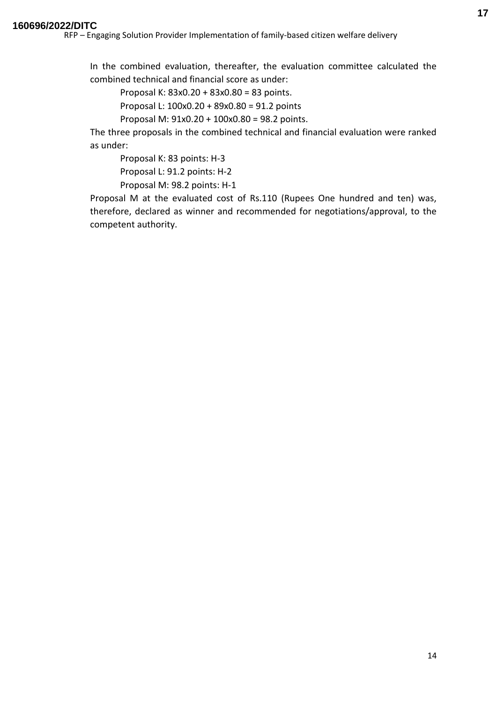In the combined evaluation, thereafter, the evaluation committee calculated the combined technical and financial score as under:

Proposal K: 83x0.20 + 83x0.80 = 83 points.

Proposal L: 100x0.20 + 89x0.80 = 91.2 points

Proposal M: 91x0.20 + 100x0.80 = 98.2 points.

The three proposals in the combined technical and financial evaluation were ranked as under:

Proposal K: 83 points: H-3

Proposal L: 91.2 points: H-2

Proposal M: 98.2 points: H-1

Proposal M at the evaluated cost of Rs.110 (Rupees One hundred and ten) was, therefore, declared as winner and recommended for negotiations/approval, to the competent authority.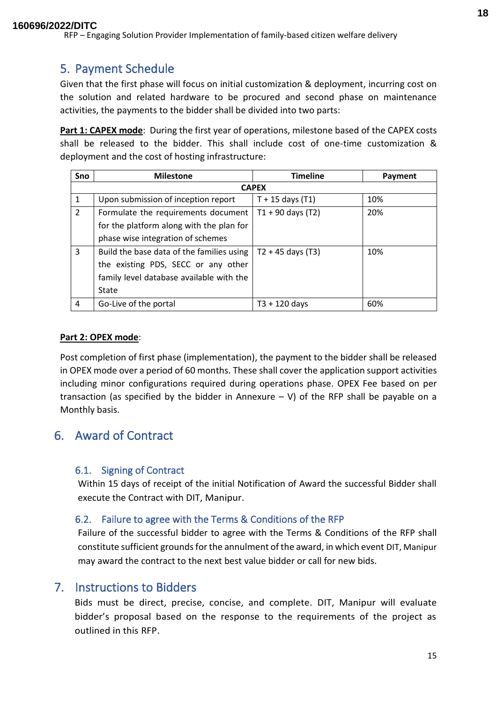## <span id="page-17-0"></span>5. Payment Schedule

Given that the first phase will focus on initial customization & deployment, incurring cost on the solution and related hardware to be procured and second phase on maintenance activities, the payments to the bidder shall be divided into two parts:

**Part 1: CAPEX mode**: During the first year of operations, milestone based of the CAPEX costs shall be released to the bidder. This shall include cost of one-time customization & deployment and the cost of hosting infrastructure:

| Sno            | <b>Milestone</b>                          | <b>Timeline</b>     | Payment |  |  |
|----------------|-------------------------------------------|---------------------|---------|--|--|
|                | <b>CAPEX</b>                              |                     |         |  |  |
| $\mathbf{1}$   | Upon submission of inception report       | $T + 15$ days (T1)  | 10%     |  |  |
| $\overline{2}$ | Formulate the requirements document       | $T1 + 90$ days (T2) | 20%     |  |  |
|                | for the platform along with the plan for  |                     |         |  |  |
|                | phase wise integration of schemes         |                     |         |  |  |
| 3              | Build the base data of the families using | $T2 + 45$ days (T3) | 10%     |  |  |
|                | the existing PDS, SECC or any other       |                     |         |  |  |
|                | family level database available with the  |                     |         |  |  |
|                | State                                     |                     |         |  |  |
| 4              | Go-Live of the portal                     | $T3 + 120$ days     | 60%     |  |  |

#### **Part 2: OPEX mode**:

Post completion of first phase (implementation), the payment to the bidder shall be released in OPEX mode over a period of 60 months. These shall cover the application support activities including minor configurations required during operations phase. OPEX Fee based on per transaction (as specified by the bidder in Annexure  $- V$ ) of the RFP shall be payable on a Monthly basis.

## <span id="page-17-1"></span>6. Award of Contract

## <span id="page-17-2"></span>6.1. Signing of Contract

Within 15 days of receipt of the initial Notification of Award the successful Bidder shall execute the Contract with DIT, Manipur.

## <span id="page-17-3"></span>6.2. Failure to agree with the Terms & Conditions of the RFP

Failure of the successful bidder to agree with the Terms & Conditions of the RFP shall constitute sufficient grounds for the annulment of the award, in which event DIT, Manipur may award the contract to the next best value bidder or call for new bids.

## <span id="page-17-4"></span>7. Instructions to Bidders

Bids must be direct, precise, concise, and complete. DIT, Manipur will evaluate bidder's proposal based on the response to the requirements of the project as outlined in this RFP.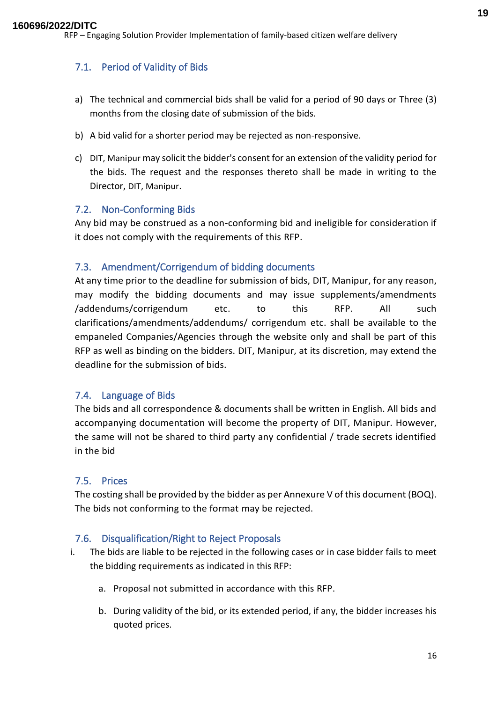## <span id="page-18-0"></span>7.1. Period of Validity of Bids

- a) The technical and commercial bids shall be valid for a period of 90 days or Three (3) months from the closing date of submission of the bids.
- b) A bid valid for a shorter period may be rejected as non-responsive.
- c) DIT, Manipur may solicit the bidder's consent for an extension of the validity period for the bids. The request and the responses thereto shall be made in writing to the Director, DIT, Manipur.

#### <span id="page-18-1"></span>7.2. Non-Conforming Bids

Any bid may be construed as a non-conforming bid and ineligible for consideration if it does not comply with the requirements of this RFP.

#### <span id="page-18-2"></span>7.3. Amendment/Corrigendum of bidding documents

At any time prior to the deadline for submission of bids, DIT, Manipur, for any reason, may modify the bidding documents and may issue supplements/amendments /addendums/corrigendum etc. to this RFP. All such clarifications/amendments/addendums/ corrigendum etc. shall be available to the empaneled Companies/Agencies through the website only and shall be part of this RFP as well as binding on the bidders. DIT, Manipur, at its discretion, may extend the deadline for the submission of bids.

#### <span id="page-18-3"></span>7.4. Language of Bids

The bids and all correspondence & documents shall be written in English. All bids and accompanying documentation will become the property of DIT, Manipur. However, the same will not be shared to third party any confidential / trade secrets identified in the bid

#### <span id="page-18-4"></span>7.5. Prices

The costing shall be provided by the bidder as per Annexure V of this document (BOQ). The bids not conforming to the format may be rejected.

#### <span id="page-18-5"></span>7.6. Disqualification/Right to Reject Proposals

- i. The bids are liable to be rejected in the following cases or in case bidder fails to meet the bidding requirements as indicated in this RFP:
	- a. Proposal not submitted in accordance with this RFP.
	- b. During validity of the bid, or its extended period, if any, the bidder increases his quoted prices.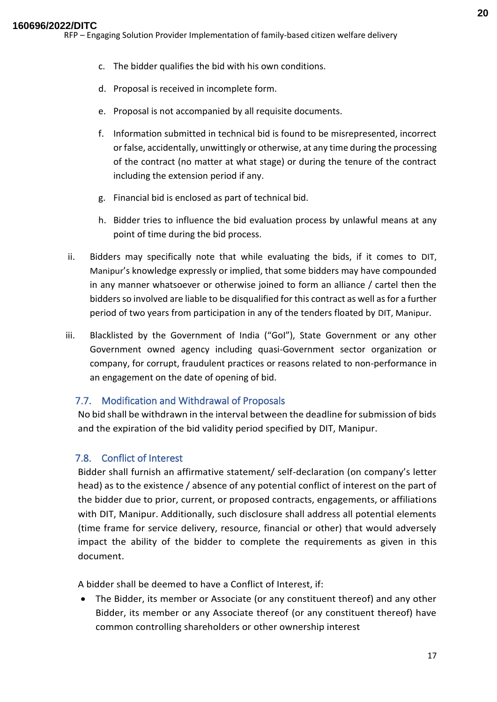- c. The bidder qualifies the bid with his own conditions.
- d. Proposal is received in incomplete form.
- e. Proposal is not accompanied by all requisite documents.
- f. Information submitted in technical bid is found to be misrepresented, incorrect or false, accidentally, unwittingly or otherwise, at any time during the processing of the contract (no matter at what stage) or during the tenure of the contract including the extension period if any.
- g. Financial bid is enclosed as part of technical bid.
- h. Bidder tries to influence the bid evaluation process by unlawful means at any point of time during the bid process.
- ii. Bidders may specifically note that while evaluating the bids, if it comes to DIT, Manipur's knowledge expressly or implied, that some bidders may have compounded in any manner whatsoever or otherwise joined to form an alliance / cartel then the bidders so involved are liable to be disqualified for this contract as well as for a further period of two years from participation in any of the tenders floated by DIT, Manipur.
- iii. Blacklisted by the Government of India ("GoI"), State Government or any other Government owned agency including quasi-Government sector organization or company, for corrupt, fraudulent practices or reasons related to non-performance in an engagement on the date of opening of bid.

## <span id="page-19-0"></span>7.7. Modification and Withdrawal of Proposals

No bid shall be withdrawn in the interval between the deadline for submission of bids and the expiration of the bid validity period specified by DIT, Manipur.

## <span id="page-19-1"></span>7.8. Conflict of Interest

Bidder shall furnish an affirmative statement/ self-declaration (on company's letter head) as to the existence / absence of any potential conflict of interest on the part of the bidder due to prior, current, or proposed contracts, engagements, or affiliations with DIT, Manipur. Additionally, such disclosure shall address all potential elements (time frame for service delivery, resource, financial or other) that would adversely impact the ability of the bidder to complete the requirements as given in this document.

A bidder shall be deemed to have a Conflict of Interest, if:

• The Bidder, its member or Associate (or any constituent thereof) and any other Bidder, its member or any Associate thereof (or any constituent thereof) have common controlling shareholders or other ownership interest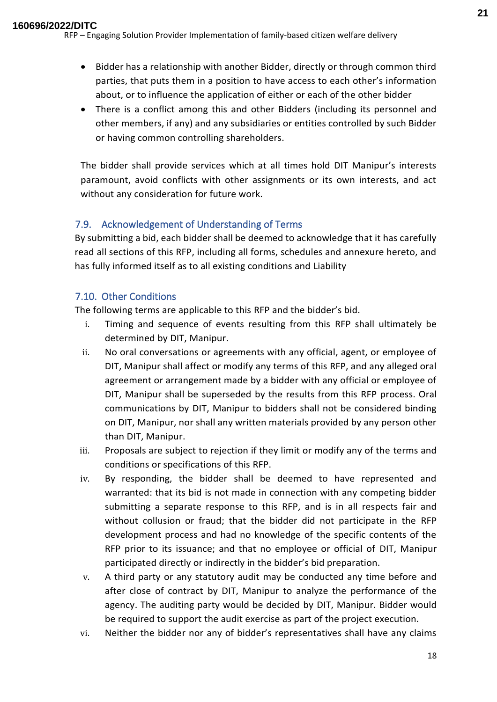- Bidder has a relationship with another Bidder, directly or through common third parties, that puts them in a position to have access to each other's information about, or to influence the application of either or each of the other bidder
- There is a conflict among this and other Bidders (including its personnel and other members, if any) and any subsidiaries or entities controlled by such Bidder or having common controlling shareholders.

The bidder shall provide services which at all times hold DIT Manipur's interests paramount, avoid conflicts with other assignments or its own interests, and act without any consideration for future work.

## <span id="page-20-0"></span>7.9. Acknowledgement of Understanding of Terms

By submitting a bid, each bidder shall be deemed to acknowledge that it has carefully read all sections of this RFP, including all forms, schedules and annexure hereto, and has fully informed itself as to all existing conditions and Liability

## <span id="page-20-1"></span>7.10. Other Conditions

The following terms are applicable to this RFP and the bidder's bid.

- i. Timing and sequence of events resulting from this RFP shall ultimately be determined by DIT, Manipur.
- ii. No oral conversations or agreements with any official, agent, or employee of DIT, Manipur shall affect or modify any terms of this RFP, and any alleged oral agreement or arrangement made by a bidder with any official or employee of DIT, Manipur shall be superseded by the results from this RFP process. Oral communications by DIT, Manipur to bidders shall not be considered binding on DIT, Manipur, nor shall any written materials provided by any person other than DIT, Manipur.
- iii. Proposals are subject to rejection if they limit or modify any of the terms and conditions or specifications of this RFP.
- iv. By responding, the bidder shall be deemed to have represented and warranted: that its bid is not made in connection with any competing bidder submitting a separate response to this RFP, and is in all respects fair and without collusion or fraud; that the bidder did not participate in the RFP development process and had no knowledge of the specific contents of the RFP prior to its issuance; and that no employee or official of DIT, Manipur participated directly or indirectly in the bidder's bid preparation.
- v. A third party or any statutory audit may be conducted any time before and after close of contract by DIT, Manipur to analyze the performance of the agency. The auditing party would be decided by DIT, Manipur. Bidder would be required to support the audit exercise as part of the project execution.
- vi. Neither the bidder nor any of bidder's representatives shall have any claims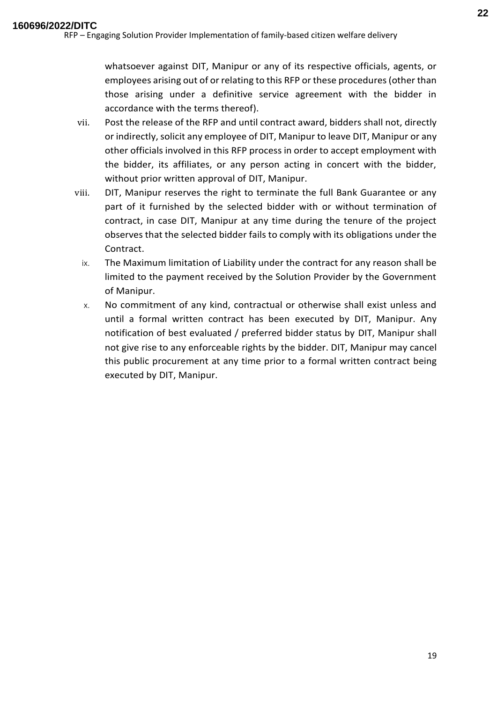accordance with the terms thereof).

whatsoever against DIT, Manipur or any of its respective officials, agents, or employees arising out of or relating to this RFP or these procedures (other than those arising under a definitive service agreement with the bidder in

- vii. Post the release of the RFP and until contract award, bidders shall not, directly or indirectly, solicit any employee of DIT, Manipur to leave DIT, Manipur or any other officials involved in this RFP process in order to accept employment with the bidder, its affiliates, or any person acting in concert with the bidder, without prior written approval of DIT, Manipur.
- viii. DIT, Manipur reserves the right to terminate the full Bank Guarantee or any part of it furnished by the selected bidder with or without termination of contract, in case DIT, Manipur at any time during the tenure of the project observes that the selected bidder fails to comply with its obligations under the Contract.
	- ix. The Maximum limitation of Liability under the contract for any reason shall be limited to the payment received by the Solution Provider by the Government of Manipur.
	- x. No commitment of any kind, contractual or otherwise shall exist unless and until a formal written contract has been executed by DIT, Manipur. Any notification of best evaluated / preferred bidder status by DIT, Manipur shall not give rise to any enforceable rights by the bidder. DIT, Manipur may cancel this public procurement at any time prior to a formal written contract being executed by DIT, Manipur.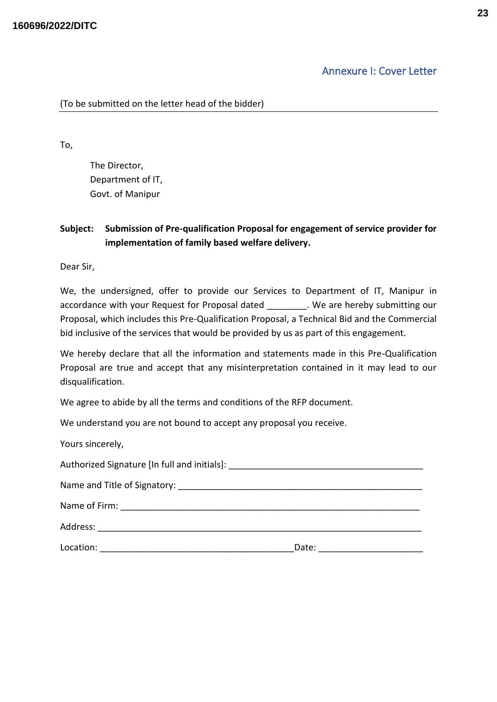## Annexure I: Cover Letter

<span id="page-22-0"></span>(To be submitted on the letter head of the bidder)

To,

The Director, Department of IT, Govt. of Manipur

## **Subject: Submission of Pre-qualification Proposal for engagement of service provider for implementation of family based welfare delivery.**

Dear Sir,

We, the undersigned, offer to provide our Services to Department of IT, Manipur in accordance with your Request for Proposal dated . We are hereby submitting our Proposal, which includes this Pre-Qualification Proposal, a Technical Bid and the Commercial bid inclusive of the services that would be provided by us as part of this engagement.

We hereby declare that all the information and statements made in this Pre-Qualification Proposal are true and accept that any misinterpretation contained in it may lead to our disqualification.

We agree to abide by all the terms and conditions of the RFP document.

We understand you are not bound to accept any proposal you receive.

| Yours sincerely, |       |  |
|------------------|-------|--|
|                  |       |  |
|                  |       |  |
|                  |       |  |
|                  |       |  |
| Location:        | Date: |  |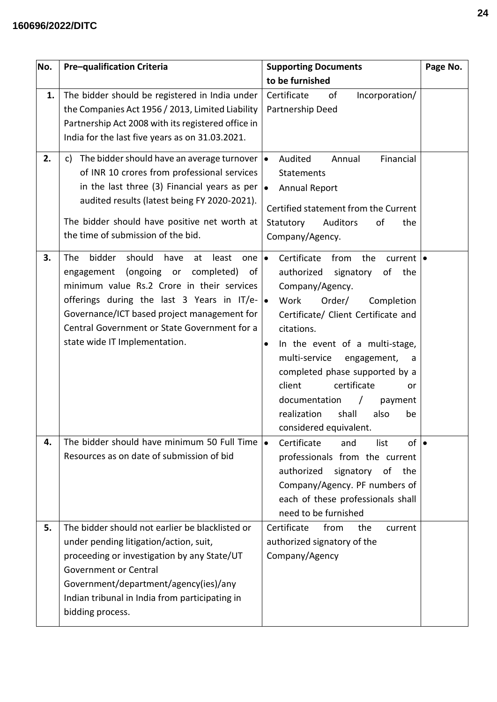## **160696/2022/DITC**

| No. | Pre-qualification Criteria                                                                                                                                                                                                                                                                                                   | <b>Supporting Documents</b>                                                                                                                                                                                                                                                                                                                                                                                                                                                      | Page No. |
|-----|------------------------------------------------------------------------------------------------------------------------------------------------------------------------------------------------------------------------------------------------------------------------------------------------------------------------------|----------------------------------------------------------------------------------------------------------------------------------------------------------------------------------------------------------------------------------------------------------------------------------------------------------------------------------------------------------------------------------------------------------------------------------------------------------------------------------|----------|
|     |                                                                                                                                                                                                                                                                                                                              | to be furnished                                                                                                                                                                                                                                                                                                                                                                                                                                                                  |          |
| 1.  | The bidder should be registered in India under<br>the Companies Act 1956 / 2013, Limited Liability<br>Partnership Act 2008 with its registered office in<br>India for the last five years as on 31.03.2021.                                                                                                                  | Certificate<br>of<br>Incorporation/<br>Partnership Deed                                                                                                                                                                                                                                                                                                                                                                                                                          |          |
| 2.  | The bidder should have an average turnover $  \bullet  $<br>c)<br>of INR 10 crores from professional services<br>in the last three (3) Financial years as per<br>audited results (latest being FY 2020-2021).<br>The bidder should have positive net worth at<br>the time of submission of the bid.                          | Financial<br>Audited<br>Annual<br><b>Statements</b><br><b>Annual Report</b><br>$\bullet$<br>Certified statement from the Current<br>Statutory<br><b>Auditors</b><br>the<br>οf<br>Company/Agency.                                                                                                                                                                                                                                                                                 |          |
| 3.  | should<br>bidder<br>have<br>The<br>least<br>at<br>one<br>engagement (ongoing or<br>completed) of<br>minimum value Rs.2 Crore in their services<br>offerings during the last 3 Years in IT/e-<br>Governance/ICT based project management for<br>Central Government or State Government for a<br>state wide IT Implementation. | Certificate<br>$\bullet$<br>from<br>the<br>current $  \bullet  $<br>authorized<br>signatory<br>of the<br>Company/Agency.<br>l.<br>Work<br>Order/<br>Completion<br>Certificate/ Client Certificate and<br>citations.<br>In the event of a multi-stage,<br>$\bullet$<br>multi-service<br>engagement,<br>a<br>completed phase supported by a<br>client<br>certificate<br>or<br>documentation<br>payment<br>$\prime$<br>shall<br>realization<br>also<br>be<br>considered equivalent. |          |
| 4.  | The bidder should have minimum 50 Full Time<br>Resources as on date of submission of bid                                                                                                                                                                                                                                     | $of \mid \bullet$<br>Certificate<br>$\bullet$<br>list<br>and<br>professionals from the current<br>authorized<br>signatory of<br>the<br>Company/Agency. PF numbers of<br>each of these professionals shall<br>need to be furnished                                                                                                                                                                                                                                                |          |
| 5.  | The bidder should not earlier be blacklisted or<br>under pending litigation/action, suit,<br>proceeding or investigation by any State/UT<br><b>Government or Central</b><br>Government/department/agency(ies)/any<br>Indian tribunal in India from participating in<br>bidding process.                                      | Certificate<br>from<br>the<br>current<br>authorized signatory of the<br>Company/Agency                                                                                                                                                                                                                                                                                                                                                                                           |          |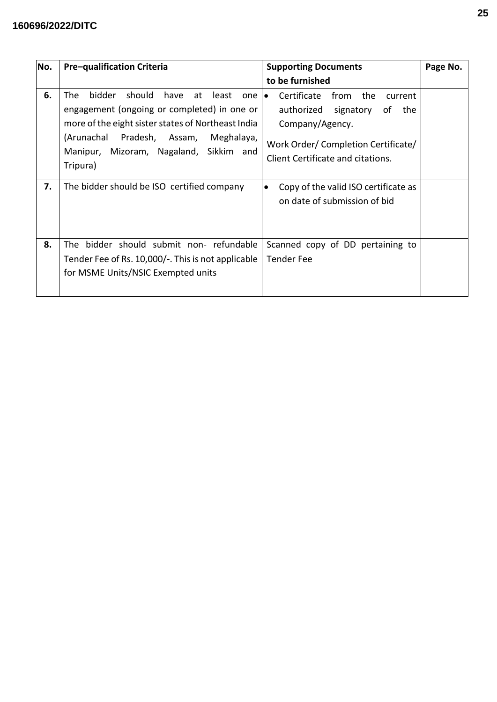## **160696/2022/DITC**

| No. | <b>Pre-qualification Criteria</b>                                                                                                                                                                                                                               | <b>Supporting Documents</b>                                                                                                                                                     | Page No. |
|-----|-----------------------------------------------------------------------------------------------------------------------------------------------------------------------------------------------------------------------------------------------------------------|---------------------------------------------------------------------------------------------------------------------------------------------------------------------------------|----------|
|     |                                                                                                                                                                                                                                                                 | to be furnished                                                                                                                                                                 |          |
| 6.  | bidder<br>should<br>The<br>have<br>at<br>least<br>one<br>engagement (ongoing or completed) in one or<br>more of the eight sister states of Northeast India<br>(Arunachal<br>Pradesh, Assam,<br>Meghalaya,<br>Manipur, Mizoram, Nagaland, Sikkim and<br>Tripura) | from the<br>Certificate<br>current<br>$\bullet$<br>authorized<br>signatory of the<br>Company/Agency.<br>Work Order/Completion Certificate/<br>Client Certificate and citations. |          |
| 7.  | The bidder should be ISO certified company                                                                                                                                                                                                                      | Copy of the valid ISO certificate as<br>$\bullet$<br>on date of submission of bid                                                                                               |          |
| 8.  | The bidder should submit non- refundable<br>Tender Fee of Rs. 10,000/-. This is not applicable<br>for MSME Units/NSIC Exempted units                                                                                                                            | Scanned copy of DD pertaining to<br>Tender Fee                                                                                                                                  |          |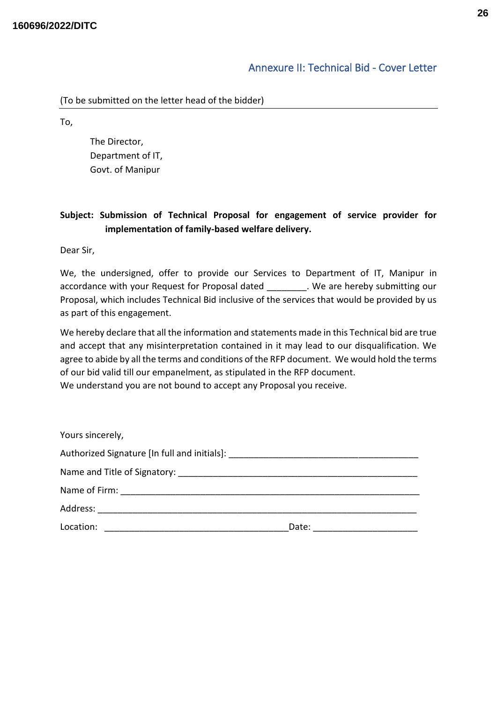## Annexure II: Technical Bid - Cover Letter

<span id="page-25-0"></span>To,

The Director, Department of IT, Govt. of Manipur

## **Subject: Submission of Technical Proposal for engagement of service provider for implementation of family-based welfare delivery.**

Dear Sir,

We, the undersigned, offer to provide our Services to Department of IT, Manipur in accordance with your Request for Proposal dated . We are hereby submitting our Proposal, which includes Technical Bid inclusive of the services that would be provided by us as part of this engagement.

We hereby declare that all the information and statements made in this Technical bid are true and accept that any misinterpretation contained in it may lead to our disqualification. We agree to abide by all the terms and conditions of the RFP document. We would hold the terms of our bid valid till our empanelment, as stipulated in the RFP document. We understand you are not bound to accept any Proposal you receive.

| Yours sincerely,                                                                 |       |  |
|----------------------------------------------------------------------------------|-------|--|
| Authorized Signature [In full and initials]: ___________________________________ |       |  |
|                                                                                  |       |  |
|                                                                                  |       |  |
|                                                                                  |       |  |
| Location:                                                                        | Date: |  |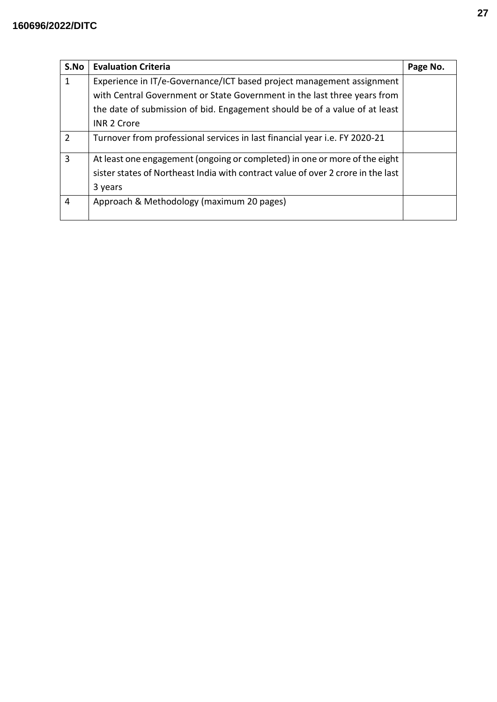| S.No           | <b>Evaluation Criteria</b>                                                       | Page No. |
|----------------|----------------------------------------------------------------------------------|----------|
| 1              | Experience in IT/e-Governance/ICT based project management assignment            |          |
|                | with Central Government or State Government in the last three years from         |          |
|                | the date of submission of bid. Engagement should be of a value of at least       |          |
|                | <b>INR 2 Crore</b>                                                               |          |
| $\overline{2}$ | Turnover from professional services in last financial year i.e. FY 2020-21       |          |
| 3              | At least one engagement (ongoing or completed) in one or more of the eight       |          |
|                | sister states of Northeast India with contract value of over 2 crore in the last |          |
|                | 3 years                                                                          |          |
| 4              | Approach & Methodology (maximum 20 pages)                                        |          |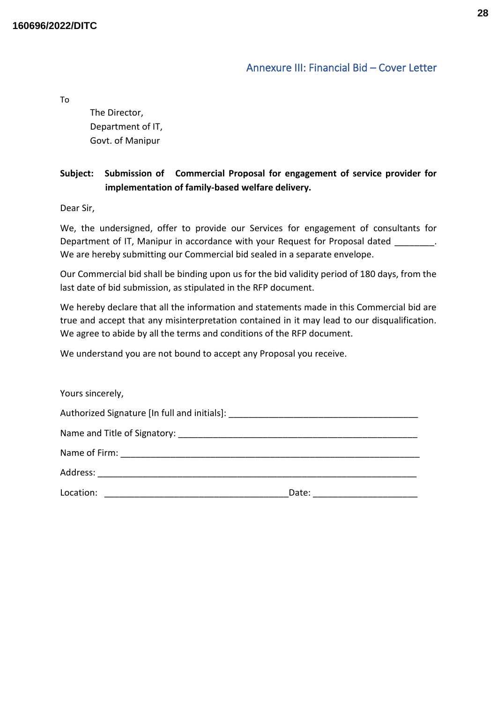## Annexure III: Financial Bid – Cover Letter

<span id="page-27-0"></span>To

The Director, Department of IT, Govt. of Manipur

## **Subject: Submission of Commercial Proposal for engagement of service provider for implementation of family-based welfare delivery.**

Dear Sir,

We, the undersigned, offer to provide our Services for engagement of consultants for Department of IT, Manipur in accordance with your Request for Proposal dated We are hereby submitting our Commercial bid sealed in a separate envelope.

Our Commercial bid shall be binding upon us for the bid validity period of 180 days, from the last date of bid submission, as stipulated in the RFP document.

We hereby declare that all the information and statements made in this Commercial bid are true and accept that any misinterpretation contained in it may lead to our disqualification. We agree to abide by all the terms and conditions of the RFP document.

We understand you are not bound to accept any Proposal you receive.

| Yours sincerely,                                                                 |       |  |  |
|----------------------------------------------------------------------------------|-------|--|--|
| Authorized Signature [In full and initials]: ___________________________________ |       |  |  |
|                                                                                  |       |  |  |
|                                                                                  |       |  |  |
|                                                                                  |       |  |  |
| Location:                                                                        | Date: |  |  |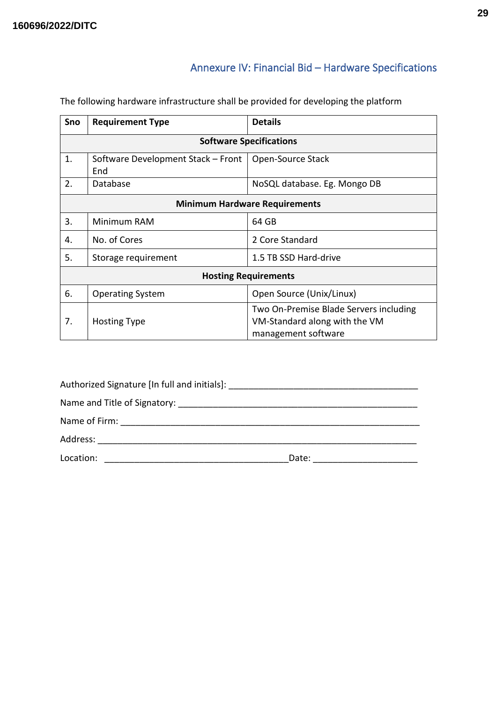# Annexure IV: Financial Bid – Hardware Specifications

| Sno                                  | <b>Requirement Type</b>                                                                                               | <b>Details</b>               |  |
|--------------------------------------|-----------------------------------------------------------------------------------------------------------------------|------------------------------|--|
| <b>Software Specifications</b>       |                                                                                                                       |                              |  |
| 1.                                   | Software Development Stack - Front<br>End                                                                             | Open-Source Stack            |  |
| 2.                                   | Database                                                                                                              | NoSQL database. Eg. Mongo DB |  |
| <b>Minimum Hardware Requirements</b> |                                                                                                                       |                              |  |
| 3.                                   | Minimum RAM                                                                                                           | 64 GB                        |  |
| 4.                                   | No. of Cores                                                                                                          | 2 Core Standard              |  |
| 5.                                   | Storage requirement                                                                                                   | 1.5 TB SSD Hard-drive        |  |
| <b>Hosting Requirements</b>          |                                                                                                                       |                              |  |
| 6.                                   | <b>Operating System</b>                                                                                               | Open Source (Unix/Linux)     |  |
| 7.                                   | Two On-Premise Blade Servers including<br>VM-Standard along with the VM<br><b>Hosting Type</b><br>management software |                              |  |

<span id="page-28-0"></span>The following hardware infrastructure shall be provided for developing the platform

| Authorized Signature [In full and initials]: ___________________________________ |       |  |  |
|----------------------------------------------------------------------------------|-------|--|--|
|                                                                                  |       |  |  |
|                                                                                  |       |  |  |
| Address:                                                                         |       |  |  |
| Location:                                                                        | Date: |  |  |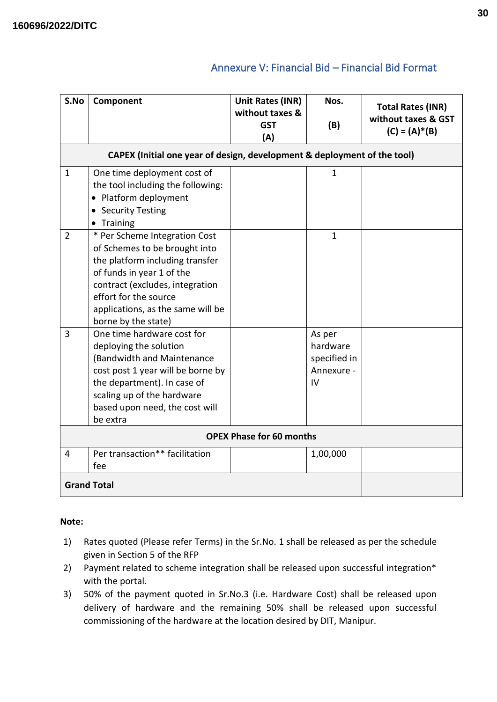## Annexure V: Financial Bid – Financial Bid Format

<span id="page-29-0"></span>

| S.No           | Component                                                                                                                                                                                                                                              | Unit Rates (INR)<br>without taxes & | Nos.                                                   | <b>Total Rates (INR)</b>                |
|----------------|--------------------------------------------------------------------------------------------------------------------------------------------------------------------------------------------------------------------------------------------------------|-------------------------------------|--------------------------------------------------------|-----------------------------------------|
|                |                                                                                                                                                                                                                                                        | <b>GST</b><br>(A)                   | (B)                                                    | without taxes & GST<br>$(C) = (A)* (B)$ |
|                | CAPEX (Initial one year of design, development & deployment of the tool)                                                                                                                                                                               |                                     |                                                        |                                         |
| $\mathbf{1}$   | One time deployment cost of<br>the tool including the following:<br>• Platform deployment<br><b>Security Testing</b><br>• Training                                                                                                                     |                                     | $\mathbf{1}$                                           |                                         |
| $\overline{2}$ | * Per Scheme Integration Cost<br>of Schemes to be brought into<br>the platform including transfer<br>of funds in year 1 of the<br>contract (excludes, integration<br>effort for the source<br>applications, as the same will be<br>borne by the state) |                                     | $\mathbf{1}$                                           |                                         |
| 3              | One time hardware cost for<br>deploying the solution<br>(Bandwidth and Maintenance<br>cost post 1 year will be borne by<br>the department). In case of<br>scaling up of the hardware<br>based upon need, the cost will<br>be extra                     |                                     | As per<br>hardware<br>specified in<br>Annexure -<br>IV |                                         |
|                | <b>OPEX Phase for 60 months</b>                                                                                                                                                                                                                        |                                     |                                                        |                                         |
| 4              | Per transaction** facilitation<br>fee                                                                                                                                                                                                                  |                                     | 1,00,000                                               |                                         |
|                | <b>Grand Total</b>                                                                                                                                                                                                                                     |                                     |                                                        |                                         |

## **Note:**

- 1) Rates quoted (Please refer Terms) in the Sr.No. 1 shall be released as per the schedule given in Section 5 of the RFP
- 2) Payment related to scheme integration shall be released upon successful integration\* with the portal.
- 3) 50% of the payment quoted in Sr.No.3 (i.e. Hardware Cost) shall be released upon delivery of hardware and the remaining 50% shall be released upon successful commissioning of the hardware at the location desired by DIT, Manipur.